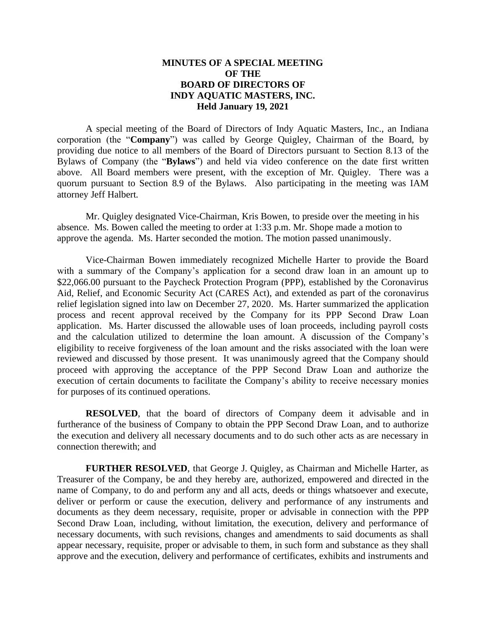## **MINUTES OF A SPECIAL MEETING OF THE BOARD OF DIRECTORS OF INDY AQUATIC MASTERS, INC. Held January 19, 2021**

A special meeting of the Board of Directors of Indy Aquatic Masters, Inc., an Indiana corporation (the "**Company**") was called by George Quigley, Chairman of the Board, by providing due notice to all members of the Board of Directors pursuant to Section 8.13 of the Bylaws of Company (the "**Bylaws**") and held via video conference on the date first written above. All Board members were present, with the exception of Mr. Quigley. There was a quorum pursuant to Section 8.9 of the Bylaws. Also participating in the meeting was IAM attorney Jeff Halbert.

Mr. Quigley designated Vice-Chairman, Kris Bowen, to preside over the meeting in his absence. Ms. Bowen called the meeting to order at 1:33 p.m. Mr. Shope made a motion to approve the agenda. Ms. Harter seconded the motion. The motion passed unanimously.

Vice-Chairman Bowen immediately recognized Michelle Harter to provide the Board with a summary of the Company's application for a second draw loan in an amount up to \$22,066.00 pursuant to the Paycheck Protection Program (PPP), established by the Coronavirus Aid, Relief, and Economic Security Act (CARES Act), and extended as part of the coronavirus relief legislation signed into law on December 27, 2020. Ms. Harter summarized the application process and recent approval received by the Company for its PPP Second Draw Loan application. Ms. Harter discussed the allowable uses of loan proceeds, including payroll costs and the calculation utilized to determine the loan amount. A discussion of the Company's eligibility to receive forgiveness of the loan amount and the risks associated with the loan were reviewed and discussed by those present. It was unanimously agreed that the Company should proceed with approving the acceptance of the PPP Second Draw Loan and authorize the execution of certain documents to facilitate the Company's ability to receive necessary monies for purposes of its continued operations.

**RESOLVED**, that the board of directors of Company deem it advisable and in furtherance of the business of Company to obtain the PPP Second Draw Loan, and to authorize the execution and delivery all necessary documents and to do such other acts as are necessary in connection therewith; and

**FURTHER RESOLVED**, that George J. Quigley, as Chairman and Michelle Harter, as Treasurer of the Company, be and they hereby are, authorized, empowered and directed in the name of Company, to do and perform any and all acts, deeds or things whatsoever and execute, deliver or perform or cause the execution, delivery and performance of any instruments and documents as they deem necessary, requisite, proper or advisable in connection with the PPP Second Draw Loan, including, without limitation, the execution, delivery and performance of necessary documents, with such revisions, changes and amendments to said documents as shall appear necessary, requisite, proper or advisable to them, in such form and substance as they shall approve and the execution, delivery and performance of certificates, exhibits and instruments and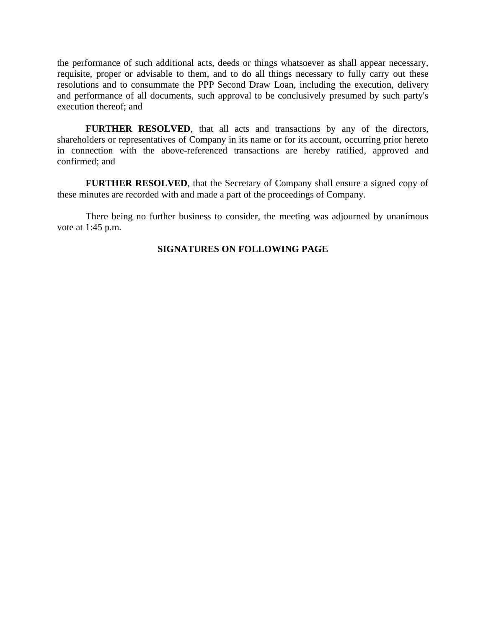the performance of such additional acts, deeds or things whatsoever as shall appear necessary, requisite, proper or advisable to them, and to do all things necessary to fully carry out these resolutions and to consummate the PPP Second Draw Loan, including the execution, delivery and performance of all documents, such approval to be conclusively presumed by such party's execution thereof; and

**FURTHER RESOLVED**, that all acts and transactions by any of the directors, shareholders or representatives of Company in its name or for its account, occurring prior hereto in connection with the above-referenced transactions are hereby ratified, approved and confirmed; and

**FURTHER RESOLVED**, that the Secretary of Company shall ensure a signed copy of these minutes are recorded with and made a part of the proceedings of Company.

There being no further business to consider, the meeting was adjourned by unanimous vote at 1:45 p.m.

## **SIGNATURES ON FOLLOWING PAGE**